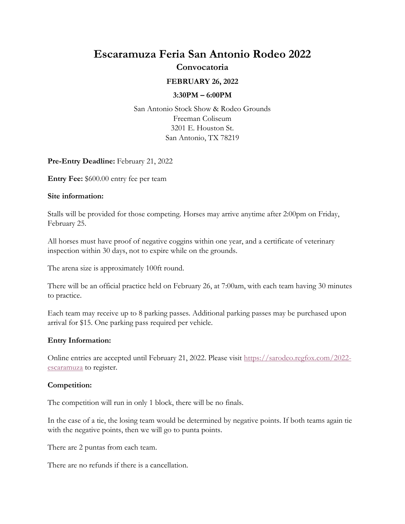# **Escaramuza Feria San Antonio Rodeo 2022 Convocatoria**

# **FEBRUARY 26, 2022**

# **3:30PM – 6:00PM**

San Antonio Stock Show & Rodeo Grounds Freeman Coliseum 3201 E. Houston St. San Antonio, TX 78219

# **Pre-Entry Deadline:** February 21, 2022

**Entry Fee:** \$600.00 entry fee per team

## **Site information:**

Stalls will be provided for those competing. Horses may arrive anytime after 2:00pm on Friday, February 25.

All horses must have proof of negative coggins within one year, and a certificate of veterinary inspection within 30 days, not to expire while on the grounds.

The arena size is approximately 100ft round.

There will be an official practice held on February 26, at 7:00am, with each team having 30 minutes to practice.

Each team may receive up to 8 parking passes. Additional parking passes may be purchased upon arrival for \$15. One parking pass required per vehicle.

# **Entry Information:**

Online entries are accepted until February 21, 2022. Please visit [https://sarodeo.regfox.com/2022](https://sarodeo.regfox.com/2022-escaramuza) [escaramuza](https://sarodeo.regfox.com/2022-escaramuza) to register.

# **Competition:**

The competition will run in only 1 block, there will be no finals.

In the case of a tie, the losing team would be determined by negative points. If both teams again tie with the negative points, then we will go to punta points.

There are 2 puntas from each team.

There are no refunds if there is a cancellation.